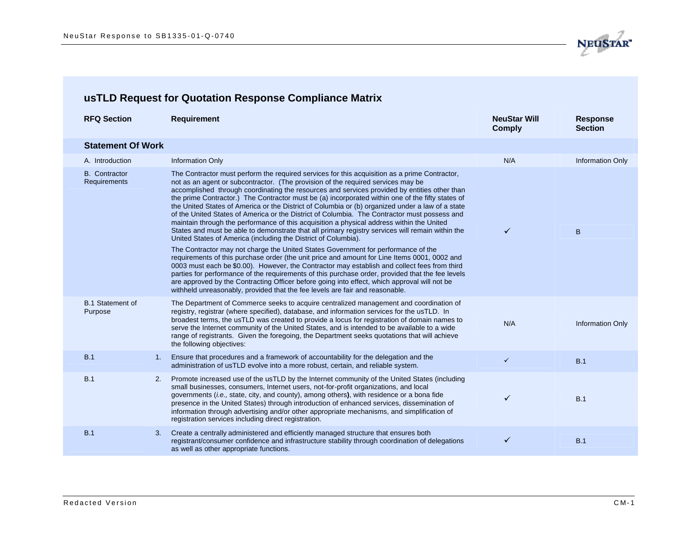

| <b>RFQ Section</b>                   |    | <b>Requirement</b>                                                                                                                                                                                                                                                                                                                                                                                                                                                                                                                                                                                                                                                                                                                                                                                                                                                                                                                                                                                                                                                                                                                                                                                                                                                                                                                                                                                                                    | <b>NeuStar Will</b><br><b>Comply</b> | <b>Response</b><br><b>Section</b> |
|--------------------------------------|----|---------------------------------------------------------------------------------------------------------------------------------------------------------------------------------------------------------------------------------------------------------------------------------------------------------------------------------------------------------------------------------------------------------------------------------------------------------------------------------------------------------------------------------------------------------------------------------------------------------------------------------------------------------------------------------------------------------------------------------------------------------------------------------------------------------------------------------------------------------------------------------------------------------------------------------------------------------------------------------------------------------------------------------------------------------------------------------------------------------------------------------------------------------------------------------------------------------------------------------------------------------------------------------------------------------------------------------------------------------------------------------------------------------------------------------------|--------------------------------------|-----------------------------------|
| <b>Statement Of Work</b>             |    |                                                                                                                                                                                                                                                                                                                                                                                                                                                                                                                                                                                                                                                                                                                                                                                                                                                                                                                                                                                                                                                                                                                                                                                                                                                                                                                                                                                                                                       |                                      |                                   |
| A. Introduction                      |    | <b>Information Only</b>                                                                                                                                                                                                                                                                                                                                                                                                                                                                                                                                                                                                                                                                                                                                                                                                                                                                                                                                                                                                                                                                                                                                                                                                                                                                                                                                                                                                               | N/A                                  | <b>Information Only</b>           |
| <b>B.</b> Contractor<br>Requirements |    | The Contractor must perform the required services for this acquisition as a prime Contractor,<br>not as an agent or subcontractor. (The provision of the required services may be<br>accomplished through coordinating the resources and services provided by entities other than<br>the prime Contractor.) The Contractor must be (a) incorporated within one of the fifty states of<br>the United States of America or the District of Columbia or (b) organized under a law of a state<br>of the United States of America or the District of Columbia. The Contractor must possess and<br>maintain through the performance of this acquisition a physical address within the United<br>States and must be able to demonstrate that all primary registry services will remain within the<br>United States of America (including the District of Columbia).<br>The Contractor may not charge the United States Government for performance of the<br>requirements of this purchase order (the unit price and amount for Line Items 0001, 0002 and<br>0003 must each be \$0.00). However, the Contractor may establish and collect fees from third<br>parties for performance of the requirements of this purchase order, provided that the fee levels<br>are approved by the Contracting Officer before going into effect, which approval will not be<br>withheld unreasonably, provided that the fee levels are fair and reasonable. | ✓                                    | B                                 |
| <b>B.1 Statement of</b><br>Purpose   |    | The Department of Commerce seeks to acquire centralized management and coordination of<br>registry, registrar (where specified), database, and information services for the usTLD. In<br>broadest terms, the usTLD was created to provide a locus for registration of domain names to<br>serve the Internet community of the United States, and is intended to be available to a wide<br>range of registrants. Given the foregoing, the Department seeks quotations that will achieve<br>the following objectives:                                                                                                                                                                                                                                                                                                                                                                                                                                                                                                                                                                                                                                                                                                                                                                                                                                                                                                                    | N/A                                  | <b>Information Only</b>           |
| B.1                                  | 1. | Ensure that procedures and a framework of accountability for the delegation and the<br>administration of usTLD evolve into a more robust, certain, and reliable system.                                                                                                                                                                                                                                                                                                                                                                                                                                                                                                                                                                                                                                                                                                                                                                                                                                                                                                                                                                                                                                                                                                                                                                                                                                                               | $\checkmark$                         | B.1                               |
| B.1                                  | 2. | Promote increased use of the usTLD by the Internet community of the United States (including<br>small businesses, consumers, Internet users, not-for-profit organizations, and local<br>governments (i.e., state, city, and county), among others), with residence or a bona fide<br>presence in the United States) through introduction of enhanced services, dissemination of<br>information through advertising and/or other appropriate mechanisms, and simplification of<br>registration services including direct registration.                                                                                                                                                                                                                                                                                                                                                                                                                                                                                                                                                                                                                                                                                                                                                                                                                                                                                                 | ✓                                    | B.1                               |
| B.1                                  | 3. | Create a centrally administered and efficiently managed structure that ensures both<br>registrant/consumer confidence and infrastructure stability through coordination of delegations<br>as well as other appropriate functions.                                                                                                                                                                                                                                                                                                                                                                                                                                                                                                                                                                                                                                                                                                                                                                                                                                                                                                                                                                                                                                                                                                                                                                                                     | ✓                                    | B.1                               |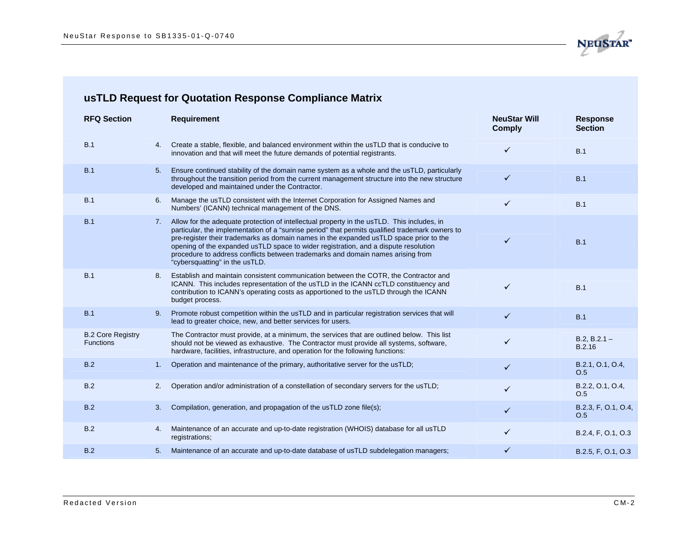

| <b>RFQ Section</b>                           |    | <b>Requirement</b>                                                                                                                                                                                                                                                                                                                                                                                                                                                                                  | <b>NeuStar Will</b><br><b>Comply</b> | <b>Response</b><br><b>Section</b> |
|----------------------------------------------|----|-----------------------------------------------------------------------------------------------------------------------------------------------------------------------------------------------------------------------------------------------------------------------------------------------------------------------------------------------------------------------------------------------------------------------------------------------------------------------------------------------------|--------------------------------------|-----------------------------------|
| B.1                                          | 4. | Create a stable, flexible, and balanced environment within the usTLD that is conducive to<br>innovation and that will meet the future demands of potential registrants.                                                                                                                                                                                                                                                                                                                             | ✓                                    | B.1                               |
| B.1                                          | 5. | Ensure continued stability of the domain name system as a whole and the usTLD, particularly<br>throughout the transition period from the current management structure into the new structure<br>developed and maintained under the Contractor.                                                                                                                                                                                                                                                      | $\checkmark$                         | B.1                               |
| B.1                                          | 6. | Manage the usTLD consistent with the Internet Corporation for Assigned Names and<br>Numbers' (ICANN) technical management of the DNS.                                                                                                                                                                                                                                                                                                                                                               | ✓                                    | B.1                               |
| B.1                                          | 7. | Allow for the adequate protection of intellectual property in the usTLD. This includes, in<br>particular, the implementation of a "sunrise period" that permits qualified trademark owners to<br>pre-register their trademarks as domain names in the expanded usTLD space prior to the<br>opening of the expanded usTLD space to wider registration, and a dispute resolution<br>procedure to address conflicts between trademarks and domain names arising from<br>"cybersquatting" in the usTLD. | ✓                                    | B.1                               |
| B.1                                          | 8. | Establish and maintain consistent communication between the COTR, the Contractor and<br>ICANN. This includes representation of the usTLD in the ICANN ccTLD constituency and<br>contribution to ICANN's operating costs as apportioned to the usTLD through the ICANN<br>budget process.                                                                                                                                                                                                            | ✓                                    | B.1                               |
| B.1                                          | 9. | Promote robust competition within the usTLD and in particular registration services that will<br>lead to greater choice, new, and better services for users.                                                                                                                                                                                                                                                                                                                                        | $\checkmark$                         | B.1                               |
| <b>B.2 Core Registry</b><br><b>Functions</b> |    | The Contractor must provide, at a minimum, the services that are outlined below. This list<br>should not be viewed as exhaustive. The Contractor must provide all systems, software,<br>hardware, facilities, infrastructure, and operation for the following functions:                                                                                                                                                                                                                            | $\checkmark$                         | $B.2, B.2.1 -$<br>B.2.16          |
| B.2                                          | 1. | Operation and maintenance of the primary, authoritative server for the usTLD;                                                                                                                                                                                                                                                                                                                                                                                                                       | $\checkmark$                         | B.2.1, O.1, O.4,<br>O.5           |
| B.2                                          | 2. | Operation and/or administration of a constellation of secondary servers for the usTLD;                                                                                                                                                                                                                                                                                                                                                                                                              |                                      | B.2.2, O.1, O.4,<br>O.5           |
| B.2                                          | 3. | Compilation, generation, and propagation of the usTLD zone file(s);                                                                                                                                                                                                                                                                                                                                                                                                                                 | $\checkmark$                         | B.2.3, F, O.1, O.4,<br>O.5        |
| B.2                                          | 4. | Maintenance of an accurate and up-to-date registration (WHOIS) database for all usTLD<br>registrations;                                                                                                                                                                                                                                                                                                                                                                                             | ✓                                    | B.2.4, F, O.1, O.3                |
| B.2                                          | 5. | Maintenance of an accurate and up-to-date database of usTLD subdelegation managers;                                                                                                                                                                                                                                                                                                                                                                                                                 |                                      | B.2.5, F, O.1, O.3                |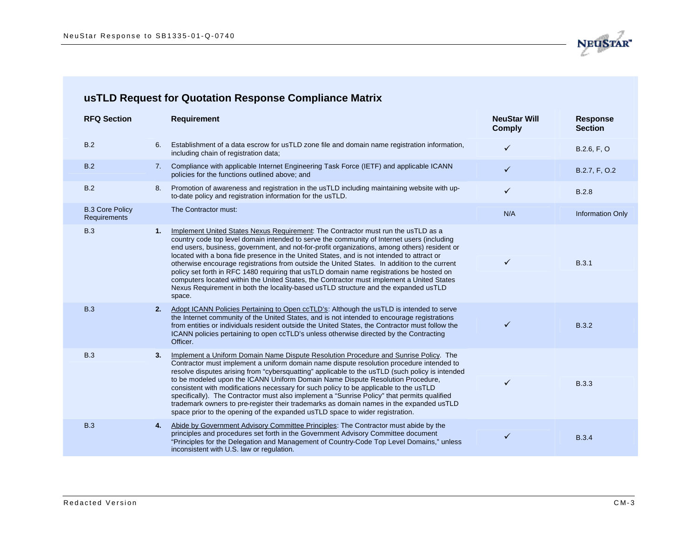

| <b>RFQ Section</b>                     |                | <b>Requirement</b>                                                                                                                                                                                                                                                                                                                                                                                                                                                                                                                                                                                                                                                                                                                                                     | <b>NeuStar Will</b><br><b>Comply</b> | <b>Response</b><br><b>Section</b> |
|----------------------------------------|----------------|------------------------------------------------------------------------------------------------------------------------------------------------------------------------------------------------------------------------------------------------------------------------------------------------------------------------------------------------------------------------------------------------------------------------------------------------------------------------------------------------------------------------------------------------------------------------------------------------------------------------------------------------------------------------------------------------------------------------------------------------------------------------|--------------------------------------|-----------------------------------|
| B.2                                    | 6.             | Establishment of a data escrow for usTLD zone file and domain name registration information,<br>including chain of registration data;                                                                                                                                                                                                                                                                                                                                                                                                                                                                                                                                                                                                                                  | ✓                                    | B.2.6, F, O                       |
| B.2                                    | 7 <sub>1</sub> | Compliance with applicable Internet Engineering Task Force (IETF) and applicable ICANN<br>policies for the functions outlined above; and                                                                                                                                                                                                                                                                                                                                                                                                                                                                                                                                                                                                                               | ✓                                    | B.2.7, F, O.2                     |
| B.2                                    | 8.             | Promotion of awareness and registration in the usTLD including maintaining website with up-<br>to-date policy and registration information for the usTLD.                                                                                                                                                                                                                                                                                                                                                                                                                                                                                                                                                                                                              | ✓                                    | <b>B.2.8</b>                      |
| <b>B.3 Core Policy</b><br>Requirements |                | The Contractor must:                                                                                                                                                                                                                                                                                                                                                                                                                                                                                                                                                                                                                                                                                                                                                   | N/A                                  | <b>Information Only</b>           |
| <b>B.3</b>                             | 1.             | Implement United States Nexus Requirement: The Contractor must run the usTLD as a<br>country code top level domain intended to serve the community of Internet users (including<br>end users, business, government, and not-for-profit organizations, among others) resident or<br>located with a bona fide presence in the United States, and is not intended to attract or<br>otherwise encourage registrations from outside the United States. In addition to the current<br>policy set forth in RFC 1480 requiring that usTLD domain name registrations be hosted on<br>computers located within the United States, the Contractor must implement a United States<br>Nexus Requirement in both the locality-based usTLD structure and the expanded usTLD<br>space. | ✓                                    | B.3.1                             |
| <b>B.3</b>                             | 2.             | Adopt ICANN Policies Pertaining to Open ccTLD's: Although the usTLD is intended to serve<br>the Internet community of the United States, and is not intended to encourage registrations<br>from entities or individuals resident outside the United States, the Contractor must follow the<br>ICANN policies pertaining to open ccTLD's unless otherwise directed by the Contracting<br>Officer.                                                                                                                                                                                                                                                                                                                                                                       |                                      | <b>B.3.2</b>                      |
| <b>B.3</b>                             | 3.             | Implement a Uniform Domain Name Dispute Resolution Procedure and Sunrise Policy. The<br>Contractor must implement a uniform domain name dispute resolution procedure intended to<br>resolve disputes arising from "cybersquatting" applicable to the usTLD (such policy is intended<br>to be modeled upon the ICANN Uniform Domain Name Dispute Resolution Procedure,<br>consistent with modifications necessary for such policy to be applicable to the usTLD<br>specifically). The Contractor must also implement a "Sunrise Policy" that permits qualified<br>trademark owners to pre-register their trademarks as domain names in the expanded usTLD<br>space prior to the opening of the expanded usTLD space to wider registration.                              | ✓                                    | <b>B.3.3</b>                      |
| <b>B.3</b>                             | 4.             | Abide by Government Advisory Committee Principles: The Contractor must abide by the<br>principles and procedures set forth in the Government Advisory Committee document<br>"Principles for the Delegation and Management of Country-Code Top Level Domains," unless<br>inconsistent with U.S. law or regulation.                                                                                                                                                                                                                                                                                                                                                                                                                                                      | ✓                                    | <b>B.3.4</b>                      |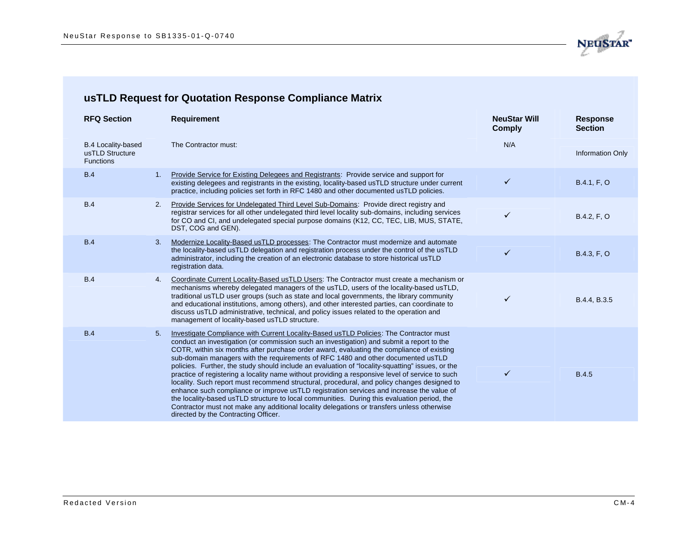

| <b>RFQ Section</b>                                               |                | <b>Requirement</b>                                                                                                                                                                                                                                                                                                                                                                                                                                                                                                                                                                                                                                                                                                                                                                                                                                                                                                                                                                                          | <b>NeuStar Will</b><br><b>Comply</b> | <b>Response</b><br><b>Section</b> |
|------------------------------------------------------------------|----------------|-------------------------------------------------------------------------------------------------------------------------------------------------------------------------------------------------------------------------------------------------------------------------------------------------------------------------------------------------------------------------------------------------------------------------------------------------------------------------------------------------------------------------------------------------------------------------------------------------------------------------------------------------------------------------------------------------------------------------------------------------------------------------------------------------------------------------------------------------------------------------------------------------------------------------------------------------------------------------------------------------------------|--------------------------------------|-----------------------------------|
| <b>B.4 Locality-based</b><br>usTLD Structure<br><b>Functions</b> |                | The Contractor must:                                                                                                                                                                                                                                                                                                                                                                                                                                                                                                                                                                                                                                                                                                                                                                                                                                                                                                                                                                                        | N/A                                  | <b>Information Only</b>           |
| <b>B.4</b>                                                       | 1 <sub>1</sub> | <b>Provide Service for Existing Delegees and Registrants: Provide service and support for</b><br>existing delegees and registrants in the existing, locality-based usTLD structure under current<br>practice, including policies set forth in RFC 1480 and other documented usTLD policies.                                                                                                                                                                                                                                                                                                                                                                                                                                                                                                                                                                                                                                                                                                                 | $\checkmark$                         | B.4.1, F, O                       |
| B.4                                                              | 2.             | Provide Services for Undelegated Third Level Sub-Domains: Provide direct registry and<br>registrar services for all other undelegated third level locality sub-domains, including services<br>for CO and CI, and undelegated special purpose domains (K12, CC, TEC, LIB, MUS, STATE,<br>DST, COG and GEN).                                                                                                                                                                                                                                                                                                                                                                                                                                                                                                                                                                                                                                                                                                  | $\checkmark$                         | B.4.2, F, O                       |
| <b>B.4</b>                                                       | 3.             | Modernize Locality-Based usTLD processes: The Contractor must modernize and automate<br>the locality-based usTLD delegation and registration process under the control of the usTLD<br>administrator, including the creation of an electronic database to store historical usTLD<br>registration data.                                                                                                                                                                                                                                                                                                                                                                                                                                                                                                                                                                                                                                                                                                      | $\checkmark$                         | B.4.3, F, O                       |
| <b>B.4</b>                                                       | 4.             | Coordinate Current Locality-Based usTLD Users: The Contractor must create a mechanism or<br>mechanisms whereby delegated managers of the usTLD, users of the locality-based usTLD,<br>traditional usTLD user groups (such as state and local governments, the library community<br>and educational institutions, among others), and other interested parties, can coordinate to<br>discuss usTLD administrative, technical, and policy issues related to the operation and<br>management of locality-based usTLD structure.                                                                                                                                                                                                                                                                                                                                                                                                                                                                                 | ✓                                    | B.4.4, B.3.5                      |
| <b>B.4</b>                                                       | 5.             | Investigate Compliance with Current Locality-Based usTLD Policies: The Contractor must<br>conduct an investigation (or commission such an investigation) and submit a report to the<br>COTR, within six months after purchase order award, evaluating the compliance of existing<br>sub-domain managers with the requirements of RFC 1480 and other documented usTLD<br>policies. Further, the study should include an evaluation of "locality-squatting" issues, or the<br>practice of registering a locality name without providing a responsive level of service to such<br>locality. Such report must recommend structural, procedural, and policy changes designed to<br>enhance such compliance or improve usTLD registration services and increase the value of<br>the locality-based usTLD structure to local communities. During this evaluation period, the<br>Contractor must not make any additional locality delegations or transfers unless otherwise<br>directed by the Contracting Officer. | ✓                                    | <b>B.4.5</b>                      |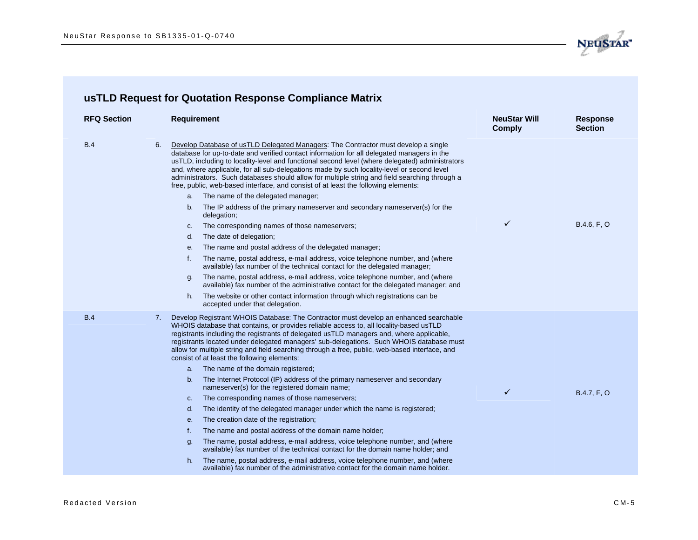

| <b>RFQ Section</b> |    | <b>Requirement</b>                                                                                                                                                                                                                                                                                                                                                                                                                                                                                                                                                       | <b>NeuStar Will</b><br><b>Comply</b> | <b>Response</b><br><b>Section</b> |
|--------------------|----|--------------------------------------------------------------------------------------------------------------------------------------------------------------------------------------------------------------------------------------------------------------------------------------------------------------------------------------------------------------------------------------------------------------------------------------------------------------------------------------------------------------------------------------------------------------------------|--------------------------------------|-----------------------------------|
| B.4                | 6. | Develop Database of usTLD Delegated Managers: The Contractor must develop a single<br>database for up-to-date and verified contact information for all delegated managers in the<br>usTLD, including to locality-level and functional second level (where delegated) administrators<br>and, where applicable, for all sub-delegations made by such locality-level or second level<br>administrators. Such databases should allow for multiple string and field searching through a<br>free, public, web-based interface, and consist of at least the following elements: |                                      |                                   |
|                    |    | a. The name of the delegated manager;                                                                                                                                                                                                                                                                                                                                                                                                                                                                                                                                    |                                      |                                   |
|                    |    | The IP address of the primary nameserver and secondary nameserver(s) for the<br>b.<br>delegation;                                                                                                                                                                                                                                                                                                                                                                                                                                                                        |                                      |                                   |
|                    |    | The corresponding names of those nameservers;<br>C.                                                                                                                                                                                                                                                                                                                                                                                                                                                                                                                      | $\checkmark$                         | B.4.6, F, O                       |
|                    |    | d.<br>The date of delegation;                                                                                                                                                                                                                                                                                                                                                                                                                                                                                                                                            |                                      |                                   |
|                    |    | The name and postal address of the delegated manager;<br>е.                                                                                                                                                                                                                                                                                                                                                                                                                                                                                                              |                                      |                                   |
|                    |    | The name, postal address, e-mail address, voice telephone number, and (where<br>f.<br>available) fax number of the technical contact for the delegated manager;                                                                                                                                                                                                                                                                                                                                                                                                          |                                      |                                   |
|                    |    | The name, postal address, e-mail address, voice telephone number, and (where<br>g.<br>available) fax number of the administrative contact for the delegated manager; and                                                                                                                                                                                                                                                                                                                                                                                                 |                                      |                                   |
|                    |    | The website or other contact information through which registrations can be<br>h.<br>accepted under that delegation.                                                                                                                                                                                                                                                                                                                                                                                                                                                     |                                      |                                   |
| <b>B.4</b>         | 7. | Develop Registrant WHOIS Database: The Contractor must develop an enhanced searchable<br>WHOIS database that contains, or provides reliable access to, all locality-based usTLD<br>registrants including the registrants of delegated usTLD managers and, where applicable,<br>registrants located under delegated managers' sub-delegations. Such WHOIS database must<br>allow for multiple string and field searching through a free, public, web-based interface, and<br>consist of at least the following elements:                                                  |                                      |                                   |
|                    |    | The name of the domain registered;<br>а.                                                                                                                                                                                                                                                                                                                                                                                                                                                                                                                                 |                                      |                                   |
|                    |    | The Internet Protocol (IP) address of the primary nameserver and secondary<br>b.<br>nameserver(s) for the registered domain name;                                                                                                                                                                                                                                                                                                                                                                                                                                        | $\checkmark$                         | B.4.7, F, O                       |
|                    |    | The corresponding names of those nameservers;<br>C <sub>1</sub>                                                                                                                                                                                                                                                                                                                                                                                                                                                                                                          |                                      |                                   |
|                    |    | The identity of the delegated manager under which the name is registered;<br>d.                                                                                                                                                                                                                                                                                                                                                                                                                                                                                          |                                      |                                   |
|                    |    | The creation date of the registration;<br>е.                                                                                                                                                                                                                                                                                                                                                                                                                                                                                                                             |                                      |                                   |
|                    |    | f.<br>The name and postal address of the domain name holder;                                                                                                                                                                                                                                                                                                                                                                                                                                                                                                             |                                      |                                   |
|                    |    | The name, postal address, e-mail address, voice telephone number, and (where<br>g.<br>available) fax number of the technical contact for the domain name holder; and                                                                                                                                                                                                                                                                                                                                                                                                     |                                      |                                   |
|                    |    | The name, postal address, e-mail address, voice telephone number, and (where<br>h.<br>available) fax number of the administrative contact for the domain name holder.                                                                                                                                                                                                                                                                                                                                                                                                    |                                      |                                   |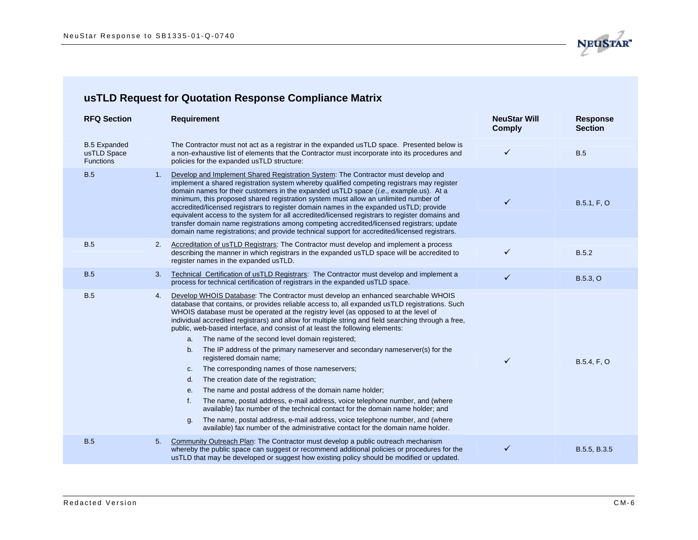

| <b>RFQ Section</b>                                     | <b>Requirement</b>                                                                                                                                                                                                                                                                                                                                                                                                                                                                                                                                                                                                                                                                                                                                                                                                                                                                                                                                                                                                                                                                                                                                                  | <b>NeuStar Will</b><br><b>Comply</b> | <b>Response</b><br><b>Section</b> |
|--------------------------------------------------------|---------------------------------------------------------------------------------------------------------------------------------------------------------------------------------------------------------------------------------------------------------------------------------------------------------------------------------------------------------------------------------------------------------------------------------------------------------------------------------------------------------------------------------------------------------------------------------------------------------------------------------------------------------------------------------------------------------------------------------------------------------------------------------------------------------------------------------------------------------------------------------------------------------------------------------------------------------------------------------------------------------------------------------------------------------------------------------------------------------------------------------------------------------------------|--------------------------------------|-----------------------------------|
| <b>B.5 Expanded</b><br>usTLD Space<br><b>Functions</b> | The Contractor must not act as a registrar in the expanded usTLD space. Presented below is<br>a non-exhaustive list of elements that the Contractor must incorporate into its procedures and<br>policies for the expanded usTLD structure:                                                                                                                                                                                                                                                                                                                                                                                                                                                                                                                                                                                                                                                                                                                                                                                                                                                                                                                          | ✓                                    | B.5                               |
| <b>B.5</b><br>1.                                       | Develop and Implement Shared Registration System: The Contractor must develop and<br>implement a shared registration system whereby qualified competing registrars may register<br>domain names for their customers in the expanded usTLD space ( <i>i.e.</i> , example.us). At a<br>minimum, this proposed shared registration system must allow an unlimited number of<br>accredited/licensed registrars to register domain names in the expanded usTLD; provide<br>equivalent access to the system for all accredited/licensed registrars to register domains and<br>transfer domain name registrations among competing accredited/licensed registrars; update<br>domain name registrations; and provide technical support for accredited/licensed registrars.                                                                                                                                                                                                                                                                                                                                                                                                   | ✓                                    | B.5.1, F, O                       |
| <b>B.5</b><br>2.                                       | Accreditation of usTLD Registrars: The Contractor must develop and implement a process<br>describing the manner in which registrars in the expanded usTLD space will be accredited to<br>register names in the expanded usTLD.                                                                                                                                                                                                                                                                                                                                                                                                                                                                                                                                                                                                                                                                                                                                                                                                                                                                                                                                      | ✓                                    | <b>B.5.2</b>                      |
| <b>B.5</b><br>3 <sub>1</sub>                           | Technical Certification of usTLD Registrars: The Contractor must develop and implement a<br>process for technical certification of registrars in the expanded usTLD space.                                                                                                                                                                                                                                                                                                                                                                                                                                                                                                                                                                                                                                                                                                                                                                                                                                                                                                                                                                                          | ✓                                    | B.5.3, O                          |
| <b>B.5</b><br>4.                                       | Develop WHOIS Database: The Contractor must develop an enhanced searchable WHOIS<br>database that contains, or provides reliable access to, all expanded usTLD registrations. Such<br>WHOIS database must be operated at the registry level (as opposed to at the level of<br>individual accredited registrars) and allow for multiple string and field searching through a free,<br>public, web-based interface, and consist of at least the following elements:<br>The name of the second level domain registered;<br>a.<br>The IP address of the primary nameserver and secondary nameserver(s) for the<br>b.<br>registered domain name;<br>The corresponding names of those nameservers;<br>c.<br>The creation date of the registration;<br>d.<br>The name and postal address of the domain name holder;<br>е.<br>f.<br>The name, postal address, e-mail address, voice telephone number, and (where<br>available) fax number of the technical contact for the domain name holder; and<br>The name, postal address, e-mail address, voice telephone number, and (where<br>g.<br>available) fax number of the administrative contact for the domain name holder. | ✓                                    | B.5.4, F, O                       |
| <b>B.5</b><br>5.                                       | Community Outreach Plan: The Contractor must develop a public outreach mechanism                                                                                                                                                                                                                                                                                                                                                                                                                                                                                                                                                                                                                                                                                                                                                                                                                                                                                                                                                                                                                                                                                    |                                      |                                   |
|                                                        | whereby the public space can suggest or recommend additional policies or procedures for the<br>usTLD that may be developed or suggest how existing policy should be modified or updated.                                                                                                                                                                                                                                                                                                                                                                                                                                                                                                                                                                                                                                                                                                                                                                                                                                                                                                                                                                            | ✓                                    | B.5.5, B.3.5                      |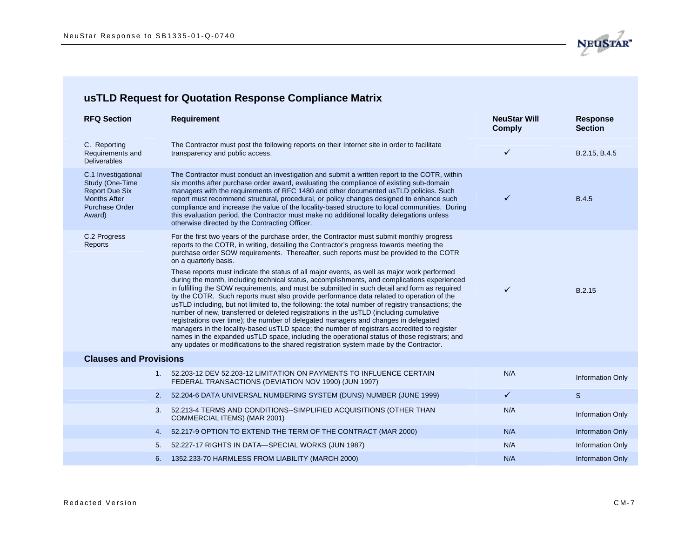

| <b>RFQ Section</b>                                                                                                        | <b>Requirement</b>                                                                                                                                                                                                                                                                                                                                                                                                                                                                                                                                                                                                                                                                                                                                                                                                                                                                                                                                                                                                                                                                                                                                                                                                                                                                    | <b>NeuStar Will</b><br><b>Comply</b> | <b>Response</b><br><b>Section</b> |
|---------------------------------------------------------------------------------------------------------------------------|---------------------------------------------------------------------------------------------------------------------------------------------------------------------------------------------------------------------------------------------------------------------------------------------------------------------------------------------------------------------------------------------------------------------------------------------------------------------------------------------------------------------------------------------------------------------------------------------------------------------------------------------------------------------------------------------------------------------------------------------------------------------------------------------------------------------------------------------------------------------------------------------------------------------------------------------------------------------------------------------------------------------------------------------------------------------------------------------------------------------------------------------------------------------------------------------------------------------------------------------------------------------------------------|--------------------------------------|-----------------------------------|
| C. Reporting<br>Requirements and<br><b>Deliverables</b>                                                                   | The Contractor must post the following reports on their Internet site in order to facilitate<br>transparency and public access.                                                                                                                                                                                                                                                                                                                                                                                                                                                                                                                                                                                                                                                                                                                                                                                                                                                                                                                                                                                                                                                                                                                                                       | ✓                                    | B.2.15, B.4.5                     |
| C.1 Investigational<br>Study (One-Time<br><b>Report Due Six</b><br><b>Months After</b><br><b>Purchase Order</b><br>Award) | The Contractor must conduct an investigation and submit a written report to the COTR, within<br>six months after purchase order award, evaluating the compliance of existing sub-domain<br>managers with the requirements of RFC 1480 and other documented usTLD policies. Such<br>report must recommend structural, procedural, or policy changes designed to enhance such<br>compliance and increase the value of the locality-based structure to local communities. During<br>this evaluation period, the Contractor must make no additional locality delegations unless<br>otherwise directed by the Contracting Officer.                                                                                                                                                                                                                                                                                                                                                                                                                                                                                                                                                                                                                                                         | ✓                                    | <b>B.4.5</b>                      |
| C.2 Progress<br>Reports                                                                                                   | For the first two years of the purchase order, the Contractor must submit monthly progress<br>reports to the COTR, in writing, detailing the Contractor's progress towards meeting the<br>purchase order SOW requirements. Thereafter, such reports must be provided to the COTR<br>on a quarterly basis.<br>These reports must indicate the status of all major events, as well as major work performed<br>during the month, including technical status, accomplishments, and complications experienced<br>in fulfilling the SOW requirements, and must be submitted in such detail and form as required<br>by the COTR. Such reports must also provide performance data related to operation of the<br>usTLD including, but not limited to, the following: the total number of registry transactions; the<br>number of new, transferred or deleted registrations in the usTLD (including cumulative<br>registrations over time); the number of delegated managers and changes in delegated<br>managers in the locality-based usTLD space; the number of registrars accredited to register<br>names in the expanded usTLD space, including the operational status of those registrars; and<br>any updates or modifications to the shared registration system made by the Contractor. | ✓                                    | B.2.15                            |
| <b>Clauses and Provisions</b>                                                                                             |                                                                                                                                                                                                                                                                                                                                                                                                                                                                                                                                                                                                                                                                                                                                                                                                                                                                                                                                                                                                                                                                                                                                                                                                                                                                                       |                                      |                                   |
|                                                                                                                           | 1. 52.203-12 DEV 52.203-12 LIMITATION ON PAYMENTS TO INFLUENCE CERTAIN<br>FEDERAL TRANSACTIONS (DEVIATION NOV 1990) (JUN 1997)                                                                                                                                                                                                                                                                                                                                                                                                                                                                                                                                                                                                                                                                                                                                                                                                                                                                                                                                                                                                                                                                                                                                                        | N/A                                  | <b>Information Only</b>           |
| 2.                                                                                                                        | 52.204-6 DATA UNIVERSAL NUMBERING SYSTEM (DUNS) NUMBER (JUNE 1999)                                                                                                                                                                                                                                                                                                                                                                                                                                                                                                                                                                                                                                                                                                                                                                                                                                                                                                                                                                                                                                                                                                                                                                                                                    | $\checkmark$                         | S                                 |
| 3.                                                                                                                        | 52.213-4 TERMS AND CONDITIONS--SIMPLIFIED ACQUISITIONS (OTHER THAN<br>COMMERCIAL ITEMS) (MAR 2001)                                                                                                                                                                                                                                                                                                                                                                                                                                                                                                                                                                                                                                                                                                                                                                                                                                                                                                                                                                                                                                                                                                                                                                                    | N/A                                  | <b>Information Only</b>           |
| 4.                                                                                                                        | 52.217-9 OPTION TO EXTEND THE TERM OF THE CONTRACT (MAR 2000)                                                                                                                                                                                                                                                                                                                                                                                                                                                                                                                                                                                                                                                                                                                                                                                                                                                                                                                                                                                                                                                                                                                                                                                                                         | N/A                                  | <b>Information Only</b>           |
| 5.                                                                                                                        | 52.227-17 RIGHTS IN DATA-SPECIAL WORKS (JUN 1987)                                                                                                                                                                                                                                                                                                                                                                                                                                                                                                                                                                                                                                                                                                                                                                                                                                                                                                                                                                                                                                                                                                                                                                                                                                     | N/A                                  | Information Only                  |
|                                                                                                                           | 6. 1352.233-70 HARMLESS FROM LIABILITY (MARCH 2000)                                                                                                                                                                                                                                                                                                                                                                                                                                                                                                                                                                                                                                                                                                                                                                                                                                                                                                                                                                                                                                                                                                                                                                                                                                   | N/A                                  | <b>Information Only</b>           |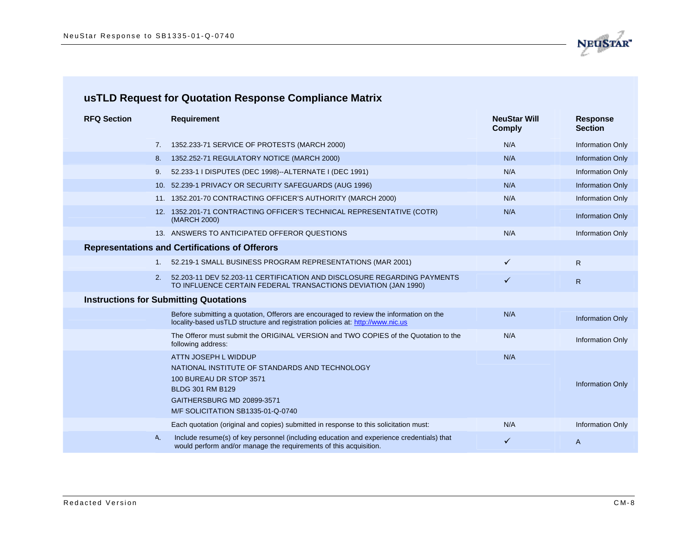

| <b>RFQ Section</b> | <b>Requirement</b>                                                                                                                                                        | <b>NeuStar Will</b><br><b>Comply</b> | <b>Response</b><br><b>Section</b> |
|--------------------|---------------------------------------------------------------------------------------------------------------------------------------------------------------------------|--------------------------------------|-----------------------------------|
| 7.                 | 1352.233-71 SERVICE OF PROTESTS (MARCH 2000)                                                                                                                              | N/A                                  | <b>Information Only</b>           |
| 8.                 | 1352.252-71 REGULATORY NOTICE (MARCH 2000)                                                                                                                                | N/A                                  | <b>Information Only</b>           |
| 9.                 | 52.233-1 I DISPUTES (DEC 1998)--ALTERNATE I (DEC 1991)                                                                                                                    | N/A                                  | <b>Information Only</b>           |
|                    | 10. 52.239-1 PRIVACY OR SECURITY SAFEGUARDS (AUG 1996)                                                                                                                    | N/A                                  | <b>Information Only</b>           |
|                    | 11. 1352.201-70 CONTRACTING OFFICER'S AUTHORITY (MARCH 2000)                                                                                                              | N/A                                  | <b>Information Only</b>           |
|                    | 12. 1352.201-71 CONTRACTING OFFICER'S TECHNICAL REPRESENTATIVE (COTR)<br>(MARCH 2000)                                                                                     | N/A                                  | <b>Information Only</b>           |
|                    | 13. ANSWERS TO ANTICIPATED OFFEROR QUESTIONS                                                                                                                              | N/A                                  | <b>Information Only</b>           |
|                    | <b>Representations and Certifications of Offerors</b>                                                                                                                     |                                      |                                   |
| $1_{-}$            | 52.219-1 SMALL BUSINESS PROGRAM REPRESENTATIONS (MAR 2001)                                                                                                                | $\checkmark$                         | $\mathsf{R}$                      |
| 2.                 | 52.203-11 DEV 52.203-11 CERTIFICATION AND DISCLOSURE REGARDING PAYMENTS<br>TO INFLUENCE CERTAIN FEDERAL TRANSACTIONS DEVIATION (JAN 1990)                                 | $\checkmark$                         | $\mathsf{R}$                      |
|                    | <b>Instructions for Submitting Quotations</b>                                                                                                                             |                                      |                                   |
|                    | Before submitting a quotation, Offerors are encouraged to review the information on the<br>locality-based usTLD structure and registration policies at: http://www.nic.us | N/A                                  | <b>Information Only</b>           |
|                    | The Offeror must submit the ORIGINAL VERSION and TWO COPIES of the Quotation to the<br>following address:                                                                 | N/A                                  | <b>Information Only</b>           |
|                    | ATTN JOSEPH L WIDDUP                                                                                                                                                      | N/A                                  |                                   |
|                    | NATIONAL INSTITUTE OF STANDARDS AND TECHNOLOGY                                                                                                                            |                                      |                                   |
|                    | 100 BUREAU DR STOP 3571<br><b>BLDG 301 RM B129</b>                                                                                                                        |                                      | <b>Information Only</b>           |
|                    | GAITHERSBURG MD 20899-3571                                                                                                                                                |                                      |                                   |
|                    | M/F SOLICITATION SB1335-01-Q-0740                                                                                                                                         |                                      |                                   |
|                    | Each quotation (original and copies) submitted in response to this solicitation must:                                                                                     | N/A                                  | <b>Information Only</b>           |
| A.                 | Include resume(s) of key personnel (including education and experience credentials) that<br>would perform and/or manage the requirements of this acquisition.             | ✓                                    | A                                 |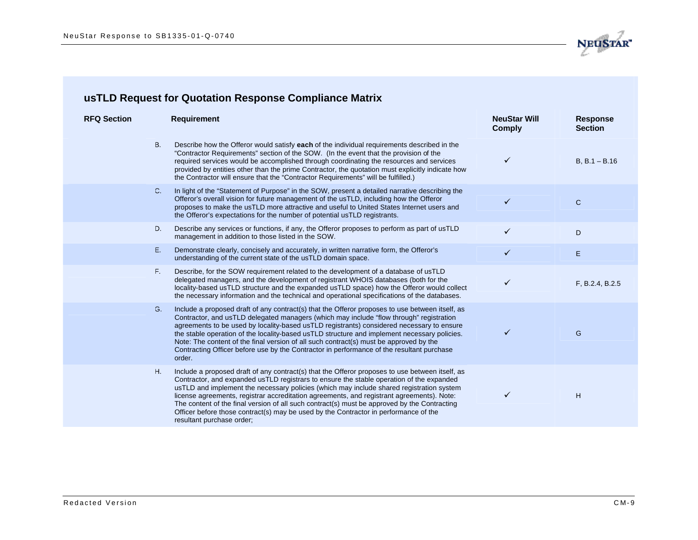

| <b>RFQ Section</b> |           | <b>Requirement</b>                                                                                                                                                                                                                                                                                                                                                                                                                                                                                                                                                                                        | <b>NeuStar Will</b><br><b>Comply</b> | <b>Response</b><br><b>Section</b> |
|--------------------|-----------|-----------------------------------------------------------------------------------------------------------------------------------------------------------------------------------------------------------------------------------------------------------------------------------------------------------------------------------------------------------------------------------------------------------------------------------------------------------------------------------------------------------------------------------------------------------------------------------------------------------|--------------------------------------|-----------------------------------|
|                    | <b>B.</b> | Describe how the Offeror would satisfy each of the individual requirements described in the<br>"Contractor Requirements" section of the SOW. (In the event that the provision of the<br>required services would be accomplished through coordinating the resources and services<br>provided by entities other than the prime Contractor, the quotation must explicitly indicate how<br>the Contractor will ensure that the "Contractor Requirements" will be fulfilled.)                                                                                                                                  | ✓                                    | $B, B.1 - B.16$                   |
|                    | $C_{1}$   | In light of the "Statement of Purpose" in the SOW, present a detailed narrative describing the<br>Offeror's overall vision for future management of the usTLD, including how the Offeror<br>proposes to make the usTLD more attractive and useful to United States Internet users and<br>the Offeror's expectations for the number of potential usTLD registrants.                                                                                                                                                                                                                                        | ✓                                    | $\mathsf{C}$                      |
|                    | D.        | Describe any services or functions, if any, the Offeror proposes to perform as part of usTLD<br>management in addition to those listed in the SOW.                                                                                                                                                                                                                                                                                                                                                                                                                                                        | ✓                                    | D                                 |
|                    | Ε.        | Demonstrate clearly, concisely and accurately, in written narrative form, the Offeror's<br>understanding of the current state of the usTLD domain space.                                                                                                                                                                                                                                                                                                                                                                                                                                                  | ✓                                    | E.                                |
|                    | F.        | Describe, for the SOW requirement related to the development of a database of usTLD<br>delegated managers, and the development of registrant WHOIS databases (both for the<br>locality-based usTLD structure and the expanded usTLD space) how the Offeror would collect<br>the necessary information and the technical and operational specifications of the databases.                                                                                                                                                                                                                                  | ✓                                    | F, B.2.4, B.2.5                   |
|                    | G.        | Include a proposed draft of any contract(s) that the Offeror proposes to use between itself, as<br>Contractor, and usTLD delegated managers (which may include "flow through" registration<br>agreements to be used by locality-based usTLD registrants) considered necessary to ensure<br>the stable operation of the locality-based usTLD structure and implement necessary policies.<br>Note: The content of the final version of all such contract(s) must be approved by the<br>Contracting Officer before use by the Contractor in performance of the resultant purchase<br>order.                  | ✓                                    | G                                 |
|                    | Η.        | Include a proposed draft of any contract(s) that the Offeror proposes to use between itself, as<br>Contractor, and expanded usTLD registrars to ensure the stable operation of the expanded<br>usTLD and implement the necessary policies (which may include shared registration system<br>license agreements, registrar accreditation agreements, and registrant agreements). Note:<br>The content of the final version of all such contract(s) must be approved by the Contracting<br>Officer before those contract(s) may be used by the Contractor in performance of the<br>resultant purchase order; | ✓                                    | H                                 |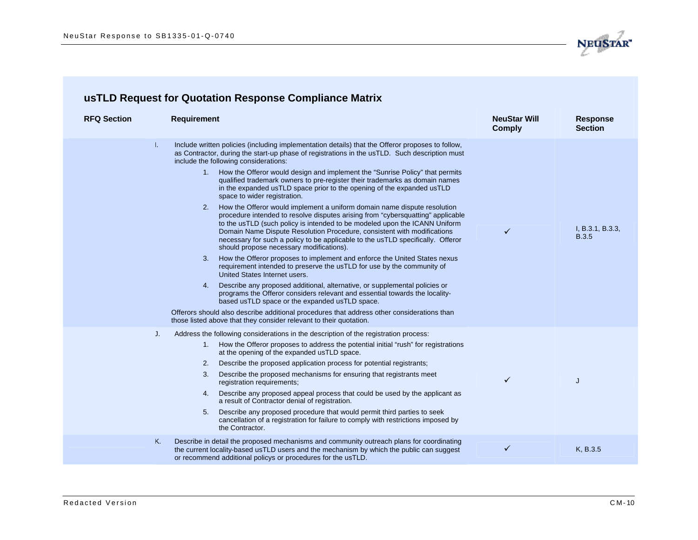

| <b>RFQ Section</b> | <b>Requirement</b>                                                                                                                                                                                                                                                                                                                                                                                                                                                                                                                                                                                                                                                                                                                                                                                                                                                                                                                                                                                                                                                                                                                                                                                                                                                                                                                                                                                                                                                                                                                                                            | <b>NeuStar Will</b><br><b>Comply</b> | <b>Response</b><br><b>Section</b> |
|--------------------|-------------------------------------------------------------------------------------------------------------------------------------------------------------------------------------------------------------------------------------------------------------------------------------------------------------------------------------------------------------------------------------------------------------------------------------------------------------------------------------------------------------------------------------------------------------------------------------------------------------------------------------------------------------------------------------------------------------------------------------------------------------------------------------------------------------------------------------------------------------------------------------------------------------------------------------------------------------------------------------------------------------------------------------------------------------------------------------------------------------------------------------------------------------------------------------------------------------------------------------------------------------------------------------------------------------------------------------------------------------------------------------------------------------------------------------------------------------------------------------------------------------------------------------------------------------------------------|--------------------------------------|-----------------------------------|
| Τ.                 | Include written policies (including implementation details) that the Offeror proposes to follow,<br>as Contractor, during the start-up phase of registrations in the usTLD. Such description must<br>include the following considerations:<br>How the Offeror would design and implement the "Sunrise Policy" that permits<br>1.<br>qualified trademark owners to pre-register their trademarks as domain names<br>in the expanded usTLD space prior to the opening of the expanded usTLD<br>space to wider registration.<br>How the Offeror would implement a uniform domain name dispute resolution<br>2.<br>procedure intended to resolve disputes arising from "cybersquatting" applicable<br>to the usTLD (such policy is intended to be modeled upon the ICANN Uniform<br>Domain Name Dispute Resolution Procedure, consistent with modifications<br>necessary for such a policy to be applicable to the usTLD specifically. Offeror<br>should propose necessary modifications).<br>How the Offeror proposes to implement and enforce the United States nexus<br>3.<br>requirement intended to preserve the usTLD for use by the community of<br>United States Internet users.<br>Describe any proposed additional, alternative, or supplemental policies or<br>4.<br>programs the Offeror considers relevant and essential towards the locality-<br>based usTLD space or the expanded usTLD space.<br>Offerors should also describe additional procedures that address other considerations than<br>those listed above that they consider relevant to their quotation. | ✓                                    | I, B.3.1, B.3.3,<br><b>B.3.5</b>  |
| J.                 | Address the following considerations in the description of the registration process:<br>How the Offeror proposes to address the potential initial "rush" for registrations<br>1.<br>at the opening of the expanded usTLD space.<br>Describe the proposed application process for potential registrants;<br>2.<br>Describe the proposed mechanisms for ensuring that registrants meet<br>3.<br>registration requirements;<br>Describe any proposed appeal process that could be used by the applicant as<br>4.<br>a result of Contractor denial of registration.<br>Describe any proposed procedure that would permit third parties to seek<br>5.<br>cancellation of a registration for failure to comply with restrictions imposed by<br>the Contractor.                                                                                                                                                                                                                                                                                                                                                                                                                                                                                                                                                                                                                                                                                                                                                                                                                      | ✓                                    | J                                 |
| Κ.                 | Describe in detail the proposed mechanisms and community outreach plans for coordinating<br>the current locality-based usTLD users and the mechanism by which the public can suggest<br>or recommend additional policys or procedures for the usTLD.                                                                                                                                                                                                                                                                                                                                                                                                                                                                                                                                                                                                                                                                                                                                                                                                                                                                                                                                                                                                                                                                                                                                                                                                                                                                                                                          | ✓                                    | K, B.3.5                          |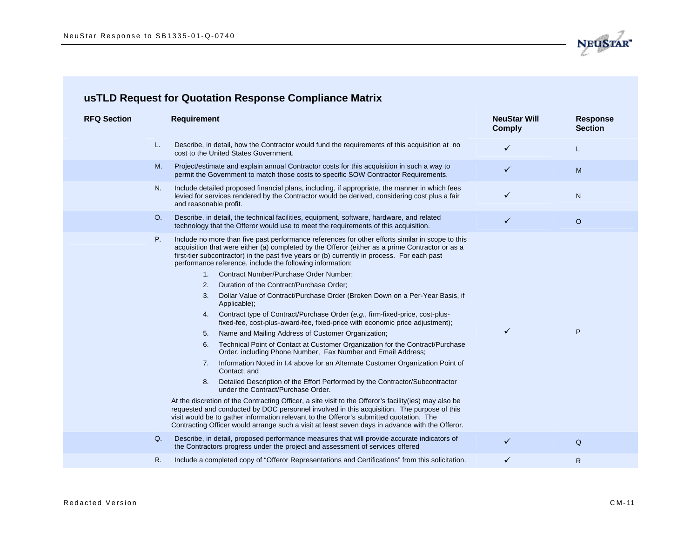

| <b>RFQ Section</b> | <b>Requirement</b>                                                                                                                                                                                                                                                                                                                                                                                                                                                                                                                                                                                                                                                                                                                                                                                                                                                                                                                                                                                                                                                                                                                                                                                                                                                                                                                                                                                                                                                                                                                                                                                         | <b>NeuStar Will</b><br><b>Comply</b> | <b>Response</b><br><b>Section</b> |
|--------------------|------------------------------------------------------------------------------------------------------------------------------------------------------------------------------------------------------------------------------------------------------------------------------------------------------------------------------------------------------------------------------------------------------------------------------------------------------------------------------------------------------------------------------------------------------------------------------------------------------------------------------------------------------------------------------------------------------------------------------------------------------------------------------------------------------------------------------------------------------------------------------------------------------------------------------------------------------------------------------------------------------------------------------------------------------------------------------------------------------------------------------------------------------------------------------------------------------------------------------------------------------------------------------------------------------------------------------------------------------------------------------------------------------------------------------------------------------------------------------------------------------------------------------------------------------------------------------------------------------------|--------------------------------------|-----------------------------------|
| L.                 | Describe, in detail, how the Contractor would fund the requirements of this acquisition at no<br>cost to the United States Government.                                                                                                                                                                                                                                                                                                                                                                                                                                                                                                                                                                                                                                                                                                                                                                                                                                                                                                                                                                                                                                                                                                                                                                                                                                                                                                                                                                                                                                                                     | ✓                                    | L                                 |
| M.                 | Project/estimate and explain annual Contractor costs for this acquisition in such a way to<br>permit the Government to match those costs to specific SOW Contractor Requirements.                                                                                                                                                                                                                                                                                                                                                                                                                                                                                                                                                                                                                                                                                                                                                                                                                                                                                                                                                                                                                                                                                                                                                                                                                                                                                                                                                                                                                          | ✓                                    | M                                 |
| N.                 | Include detailed proposed financial plans, including, if appropriate, the manner in which fees<br>levied for services rendered by the Contractor would be derived, considering cost plus a fair<br>and reasonable profit.                                                                                                                                                                                                                                                                                                                                                                                                                                                                                                                                                                                                                                                                                                                                                                                                                                                                                                                                                                                                                                                                                                                                                                                                                                                                                                                                                                                  | ✓                                    | N                                 |
| 0.                 | Describe, in detail, the technical facilities, equipment, software, hardware, and related<br>technology that the Offeror would use to meet the requirements of this acquisition.                                                                                                                                                                                                                                                                                                                                                                                                                                                                                                                                                                                                                                                                                                                                                                                                                                                                                                                                                                                                                                                                                                                                                                                                                                                                                                                                                                                                                           | $\checkmark$                         | $\circ$                           |
| P.                 | Include no more than five past performance references for other efforts similar in scope to this<br>acquisition that were either (a) completed by the Offeror (either as a prime Contractor or as a<br>first-tier subcontractor) in the past five years or (b) currently in process. For each past<br>performance reference, include the following information:<br>Contract Number/Purchase Order Number;<br>1.<br>Duration of the Contract/Purchase Order;<br>2.<br>Dollar Value of Contract/Purchase Order (Broken Down on a Per-Year Basis, if<br>3.<br>Applicable);<br>Contract type of Contract/Purchase Order (e.g., firm-fixed-price, cost-plus-<br>4.<br>fixed-fee, cost-plus-award-fee, fixed-price with economic price adjustment);<br>Name and Mailing Address of Customer Organization;<br>5.<br>Technical Point of Contact at Customer Organization for the Contract/Purchase<br>6.<br>Order, including Phone Number, Fax Number and Email Address;<br>Information Noted in I.4 above for an Alternate Customer Organization Point of<br>7.<br>Contact; and<br>Detailed Description of the Effort Performed by the Contractor/Subcontractor<br>8.<br>under the Contract/Purchase Order.<br>At the discretion of the Contracting Officer, a site visit to the Offeror's facility (ies) may also be<br>requested and conducted by DOC personnel involved in this acquisition. The purpose of this<br>visit would be to gather information relevant to the Offeror's submitted quotation. The<br>Contracting Officer would arrange such a visit at least seven days in advance with the Offeror. | ✓                                    | P                                 |
| Q.                 | Describe, in detail, proposed performance measures that will provide accurate indicators of<br>the Contractors progress under the project and assessment of services offered                                                                                                                                                                                                                                                                                                                                                                                                                                                                                                                                                                                                                                                                                                                                                                                                                                                                                                                                                                                                                                                                                                                                                                                                                                                                                                                                                                                                                               | ✓                                    | Q                                 |
| R.                 | Include a completed copy of "Offeror Representations and Certifications" from this solicitation.                                                                                                                                                                                                                                                                                                                                                                                                                                                                                                                                                                                                                                                                                                                                                                                                                                                                                                                                                                                                                                                                                                                                                                                                                                                                                                                                                                                                                                                                                                           | ✓                                    | $\mathsf{R}$                      |